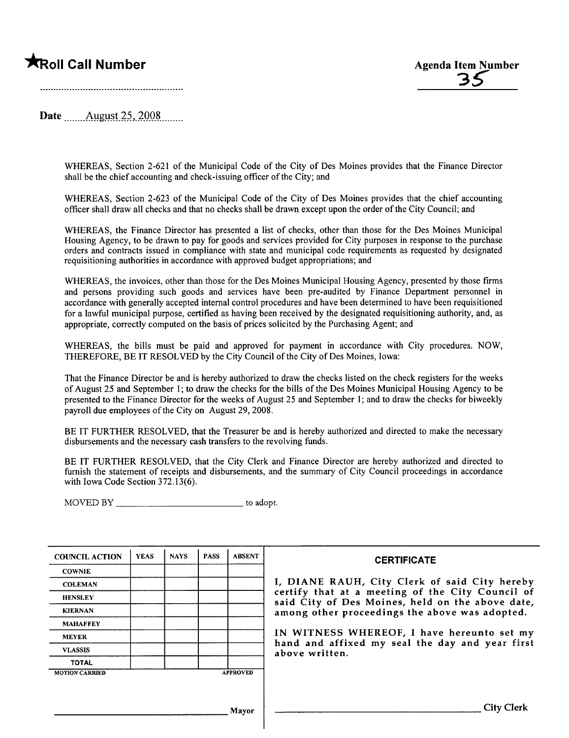~oll Call Number Agenda Item Number 3Ç

Date  $\frac{\text{August }25,2008}{\text{August }25,2008}$ 

WHEREAS, Section 2-621 of the Municipal Code of the City of Des Moines provides that the Finance Director shall be the chief accounting and check-issuing officer of the City; and

WHEREAS, Section 2-623 of the Municipal Code of the City of Des Moines provides that the chief accounting officer shall draw all checks and that no checks shall be drawn except upon the order of the City Council; and

WHEREAS, the Finance Director has presented a list of checks, other than those for the Des Moines Municipal Housing Agency, to be drawn to pay for goods and services provided for City puroses in response to the purchase orders and contracts issued in compliance with state and municipal code requirements as requested by designated requisitioning authorities in accordance with approved budget appropriations; and

WHEREAS, the invoices, other than those for the Des Moines Municipal Housing Agency, presented by those firms and persons providing such goods and services have been pre-audited by Finance Department personnel in accordance with generally accepted internal control procedures and have been determined to have been requisitioned for a lawful municipal purose, certified as having been received by the designated requisitioning authority, and, as appropriate, correctly computed on the basis of prices solicited by the Purchasing Agent; and

WHEREAS, the bils must be paid and approved for payment in accordance with City procedures. NOW, THEREFORE, BE IT RESOLVED by the City Council of the City of Des Moines, Iowa:

That the Finance Director be and is hereby authorized to draw the checks listed on the check registers for the weeks of August 25 and September 1; to draw the checks for the bils of the Des Moines Municipal Housing Agency to be presented to the Finance Director for the weeks of August 25 and September 1; and to draw the checks for biweekly payroll due employees of the City on August 29,2008.

BE IT FURTHER RESOLVED, that the Treasurer be and is hereby authorized and directed to make the necessary disbursements and the necessary cash transfers to the revolving funds.

BE IT FURTHER RESOLVED, that the City Clerk and Finance Director are hereby authorized and directed to furnish the statement of receipts and disbursements, and the summary of City Council proceedings in accordance with Iowa Code Section 372.13(6).

MOVED BY to adopt.

| <b>COUNCIL ACTION</b> | <b>YEAS</b> | <b>NAYS</b> | <b>PASS</b> | <b>ABSENT</b>   | <b>CERTIFICATE</b>                                                                                   |
|-----------------------|-------------|-------------|-------------|-----------------|------------------------------------------------------------------------------------------------------|
| <b>COWNIE</b>         |             |             |             |                 |                                                                                                      |
| <b>COLEMAN</b>        |             |             |             |                 | I, DIANE RAUH, City Clerk of said City hereby                                                        |
| <b>HENSLEY</b>        |             |             |             |                 | certify that at a meeting of the City Council of<br>said City of Des Moines, held on the above date, |
| <b>KIERNAN</b>        |             |             |             |                 | among other proceedings the above was adopted.                                                       |
| <b>MAHAFFEY</b>       |             |             |             |                 |                                                                                                      |
| <b>MEYER</b>          |             |             |             |                 | IN WITNESS WHEREOF, I have hereunto set my                                                           |
| <b>VLASSIS</b>        |             |             |             |                 | hand and affixed my seal the day and year first<br>above written.                                    |
| <b>TOTAL</b>          |             |             |             |                 |                                                                                                      |
| <b>MOTION CARRIED</b> |             |             |             | <b>APPROVED</b> |                                                                                                      |
|                       |             |             |             |                 |                                                                                                      |
|                       |             |             |             |                 |                                                                                                      |
|                       |             |             |             | Mayor           | <b>City Clerk</b>                                                                                    |
|                       |             |             |             |                 |                                                                                                      |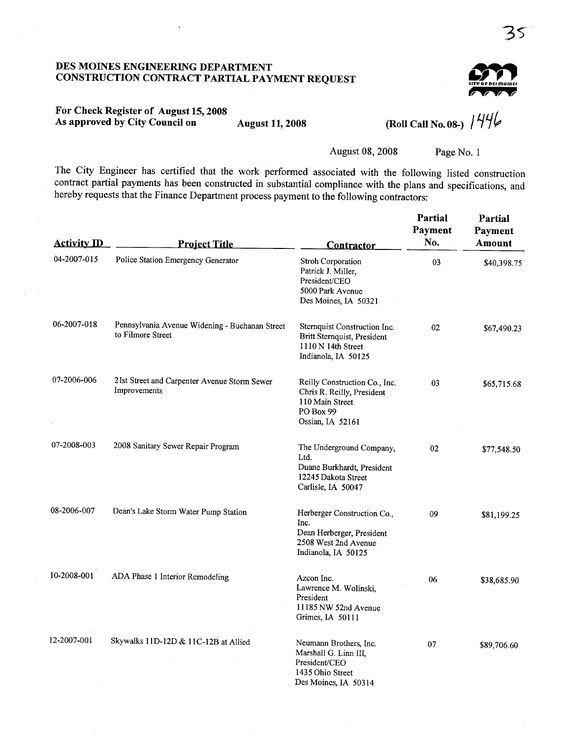### DES MOINES ENGINEERING DEPARTMENT CONSTRUCTION CONTRACT PARTIAL PAYMENT REQUEST

# $\sum_{\text{city of reference model}}$ ,.,.WWW

### For Check Register of August 15, 2008 As approved by City Council on August 11, 2008

(Roll Call No. 08-)  $1446$ 

August 08, 2008 Page No. I

The City Engineer has certified that the work performed associated with the following listed construction contract partial payments has been constructed in substantial compliance with the plans and specifications, and hereby requests that the Finance Department process payment to the following contractors:

| <b>Activity ID</b> | <b>Project Title</b>                                                | <b>Contractor</b>                                                                                               | Partial<br><b>Payment</b><br>No. | Partial<br>Payment<br>Amount |
|--------------------|---------------------------------------------------------------------|-----------------------------------------------------------------------------------------------------------------|----------------------------------|------------------------------|
| 04-2007-015        | Police Station Emergency Generator                                  | <b>Stroh Corporation</b><br>Patrick J. Miller,<br>President/CEO<br>5000 Park Avenue<br>Des Moines, IA 50321     | 03                               | \$40,398.75                  |
| 06-2007-018        | Pennsylvania Avenue Widening - Buchanan Street<br>to Filmore Street | Sternquist Construction Inc.<br>Britt Sternquist, President<br>1110 N 14th Street<br>Indianola, IA 50125        | 02                               | \$67,490.23                  |
| 07-2006-006        | 21st Street and Carpenter Avenue Storm Sewer<br>Improvements        | Reilly Construction Co., Inc.<br>Chris R. Reilly, President<br>110 Main Street<br>PO Box 99<br>Ossian, IA 52161 | 03                               | \$65,715.68                  |
| 07-2008-003        | 2008 Sanitary Sewer Repair Program                                  | The Underground Company,<br>Ltd.<br>Duane Burkhardt, President<br>12245 Dakota Street<br>Carlisle, IA 50047     | 02                               | \$77,548.50                  |
| 08-2006-007        | Dean's Lake Storm Water Pump Station                                | Herberger Construction Co.,<br>Inc.<br>Dean Herberger, President<br>2508 West 2nd Avenue<br>Indianola, IA 50125 | 09                               | \$81,199.25                  |
| 10-2008-001        | ADA Phase 1 Interior Remodeling                                     | Azcon Inc.<br>Lawrence M. Wolinski,<br>President<br>11185 NW 52nd Avenue<br>Grimes, IA 50111                    | 06                               | \$38,685.90                  |
| 12-2007-001        | Skywalks 11D-12D & 11C-12B at Allied                                | Neumann Brothers, Inc.<br>Marshall G. Linn III,<br>President/CEO<br>1435 Ohio Street<br>Des Moines, IA 50314    | 07                               | \$89,706.60                  |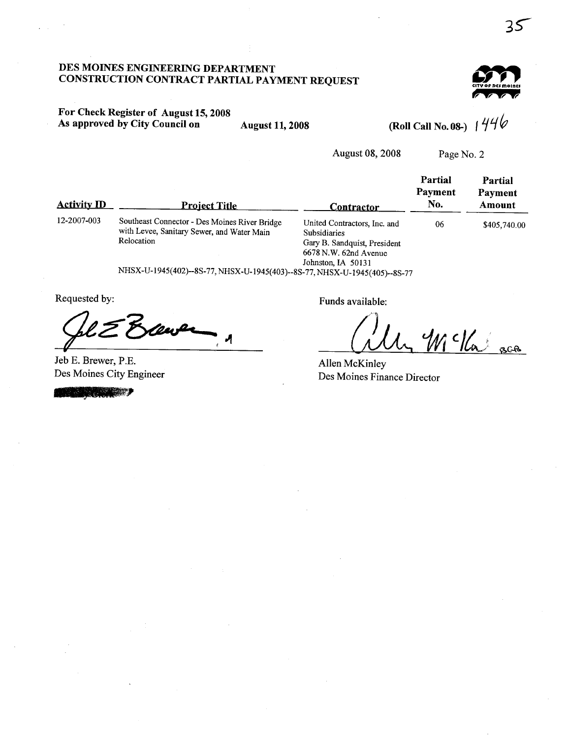### DES MOINS ENGINERIG DEPARTMENT CONSTRUCTION CONTRACT PARTIAL PAYMENT REQUEST



## For Check Register of August 15, 2008 As approved by City Council on August 11, 2008 (Roll Call No. 08-)  $1444$

August 08, 2008 Page No.2

| <b>Activity ID</b> | <b>Project Title</b>                                                                                      | Contractor                                                                                                                      | Partial<br><b>Payment</b><br>No. | Partial<br>Payment<br>Amount |
|--------------------|-----------------------------------------------------------------------------------------------------------|---------------------------------------------------------------------------------------------------------------------------------|----------------------------------|------------------------------|
| 12-2007-003        | Southeast Connector - Des Moines River Bridge<br>with Levee, Sanitary Sewer, and Water Main<br>Relocation | United Contractors, Inc. and<br>Subsidiaries<br>Gary B. Sandquist, President<br>$6678$ N.W. $62nd$ Avenue<br>Johnston, IA 50131 | 06                               | \$405,740.00                 |
|                    | NHSX-U-1945(402)--8S-77, NHSX-U-1945(403)--8S-77, NHSX-U-1945(405)--8S-77                                 |                                                                                                                                 |                                  |                              |

Jeb E. Brewer, P.E. Des Moines City Engineer Jeb E. Br<br>Des Moir

Requested by: Funds available:

1 ( W/ W /2 sca

Allen McKinley Des Moines Finance Director